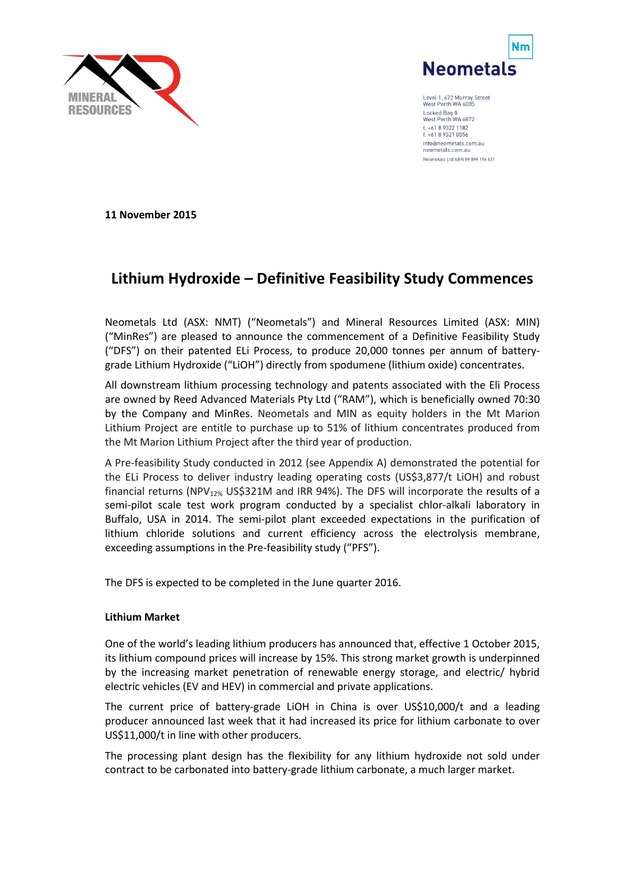



Level 1, 672 Murray Street<br>West Perth WA 6005 Locked Bag 8<br>West Perth WA 6872 t. +61 8 9322 1182 f. +61 8 9321 0556 info@neometals.com.au neometals.com.a Neometals Ltd ABN 89 099 116 631

**11 November 2015**

# **Lithium Hydroxide – Definitive Feasibility Study Commences**

Neometals Ltd (ASX: NMT) ("Neometals") and Mineral Resources Limited (ASX: MIN) ("MinRes") are pleased to announce the commencement of a Definitive Feasibility Study ("DFS") on their patented ELi Process, to produce 20,000 tonnes per annum of batterygrade Lithium Hydroxide ("LiOH") directly from spodumene (lithium oxide) concentrates.

All downstream lithium processing technology and patents associated with the Eli Process are owned by Reed Advanced Materials Pty Ltd ("RAM"), which is beneficially owned 70:30 by the Company and MinRes. Neometals and MIN as equity holders in the Mt Marion Lithium Project are entitle to purchase up to 51% of lithium concentrates produced from the Mt Marion Lithium Project after the third year of production.

A Pre-feasibility Study conducted in 2012 (see Appendix A) demonstrated the potential for the ELi Process to deliver industry leading operating costs (US\$3,877/t LiOH) and robust financial returns (NPV<sub>12%</sub> US\$321M and IRR 94%). The DFS will incorporate the results of a semi-pilot scale test work program conducted by a specialist chlor-alkali laboratory in Buffalo, USA in 2014. The semi-pilot plant exceeded expectations in the purification of lithium chloride solutions and current efficiency across the electrolysis membrane, exceeding assumptions in the Pre-feasibility study ("PFS").

The DFS is expected to be completed in the June quarter 2016.

## **Lithium Market**

One of the world's leading lithium producers has announced that, effective 1 October 2015, its lithium compound prices will increase by 15%. This strong market growth is underpinned by the increasing market penetration of renewable energy storage, and electric/ hybrid electric vehicles (EV and HEV) in commercial and private applications.

The current price of battery-grade LiOH in China is over US\$10,000/t and a leading producer announced last week that it had increased its price for lithium carbonate to over US\$11,000/t in line with other producers.

The processing plant design has the flexibility for any lithium hydroxide not sold under contract to be carbonated into battery-grade lithium carbonate, a much larger market.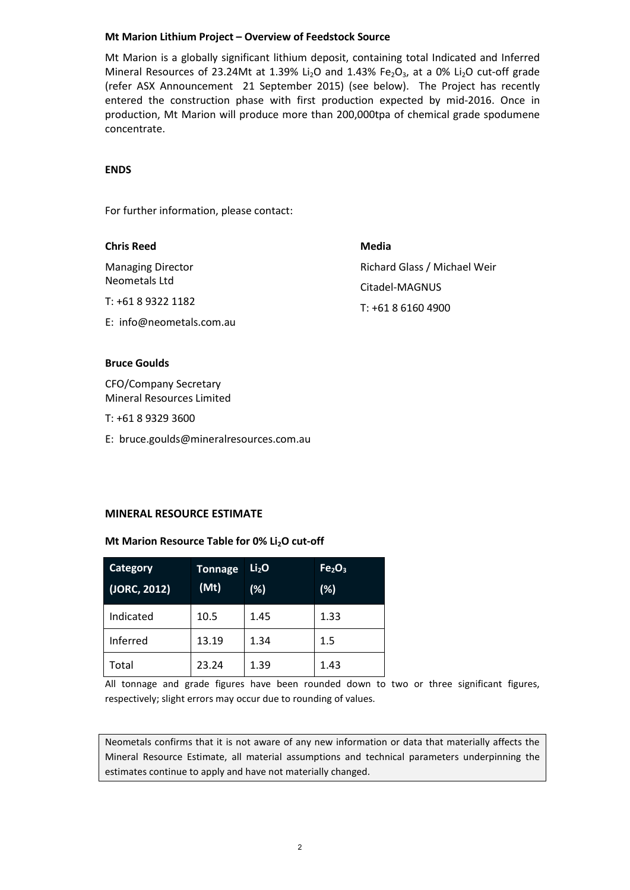#### **Mt Marion Lithium Project – Overview of Feedstock Source**

Mt Marion is a globally significant lithium deposit, containing total Indicated and Inferred Mineral Resources of 23.24Mt at 1.39% Li<sub>2</sub>O and 1.43% Fe<sub>2</sub>O<sub>3</sub>, at a 0% Li<sub>2</sub>O cut-off grade (refer ASX Announcement 21 September 2015) (see below). The Project has recently entered the construction phase with first production expected by mid-2016. Once in production, Mt Marion will produce more than 200,000tpa of chemical grade spodumene concentrate.

### **ENDS**

For further information, please contact:

| <b>Chris Reed</b>                         | Media                        |
|-------------------------------------------|------------------------------|
| <b>Managing Director</b><br>Neometals Ltd | Richard Glass / Michael Weir |
|                                           | Citadel-MAGNUS               |
| T: +61 8 9322 1182                        | $T: +61861604900$            |
| E: info@neometals.com.au                  |                              |
|                                           |                              |

#### **Bruce Goulds**

CFO/Company Secretary Mineral Resources Limited

- T: +61 8 9329 3600
- E: bruce.goulds@mineralresources.com.au

#### **MINERAL RESOURCE ESTIMATE**

#### Mt Marion Resource Table for 0% Li<sub>2</sub>O cut-off

| <b>Category</b><br>(JORC, 2012) | <b>Tonnage</b><br>(Mt) | Li <sub>2</sub> O<br>(%) | Fe <sub>2</sub> O <sub>3</sub><br>(%) |
|---------------------------------|------------------------|--------------------------|---------------------------------------|
| Indicated                       | 10.5                   | 1.45                     | 1.33                                  |
| Inferred                        | 13.19                  | 1.34                     | 1.5                                   |
| Total                           | 23.24                  | 1.39                     | 1.43                                  |

All tonnage and grade figures have been rounded down to two or three significant figures, respectively; slight errors may occur due to rounding of values.

Neometals confirms that it is not aware of any new information or data that materially affects the Mineral Resource Estimate, all material assumptions and technical parameters underpinning the estimates continue to apply and have not materially changed.